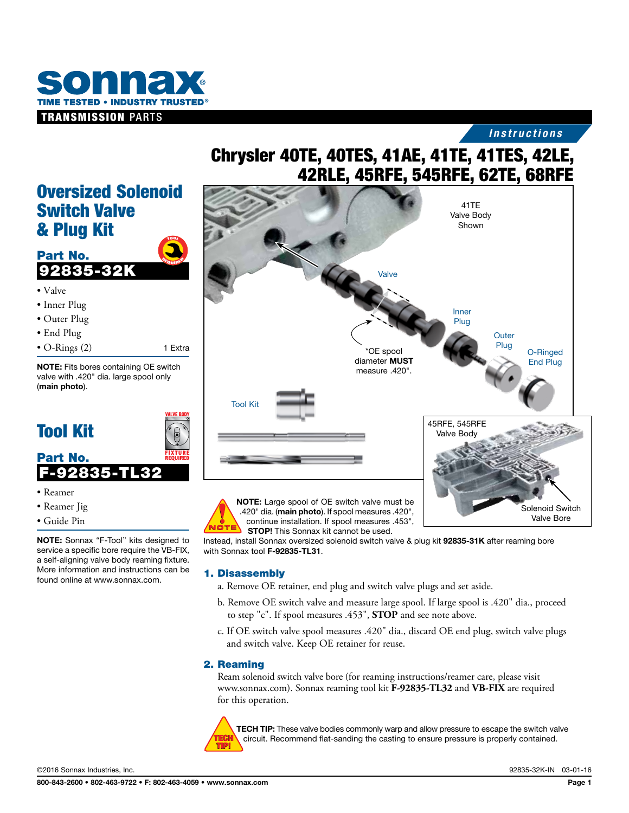

# *Instructions*

# Chrysler 40TE, 40TES, 41AE, 41TE, 41TES, 42LE, 42RLE, 45RFE, 545RFE, 62TE, 68RFE

# Oversized Solenoid Switch Valve & Plug Kit  $\boldsymbol{\tau}$ oo $\boldsymbol{\imath}$





- Reamer
- Reamer Jig
- Guide Pin

NOTE: Sonnax "F-Tool" kits designed to service a specific bore require the VB-FIX, a self-aligning valve body reaming fixture. More information and instructions can be found online at www.sonnax.com.



Instead, install Sonnax oversized solenoid switch valve & plug kit 92835-31K after reaming bore with Sonnax tool F-92835-TL31.

### 1. Disassembly

- a. Remove OE retainer, end plug and switch valve plugs and set aside.
- b. Remove OE switch valve and measure large spool. If large spool is .420" dia., proceed to step "c". If spool measures .453", **STOP** and see note above.
- c. If OE switch valve spool measures .420" dia., discard OE end plug, switch valve plugs and switch valve. Keep OE retainer for reuse.

### 2. Reaming

Ream solenoid switch valve bore (for reaming instructions/reamer care, please visit www.sonnax.com). Sonnax reaming tool kit **F-92835-TL32** and **VB-FIX** are required for this operation.



**TECH TIP:** These valve bodies commonly warp and allow pressure to escape the switch valve circuit. Recommend flat-sanding the casting to ensure pressure is properly contained.